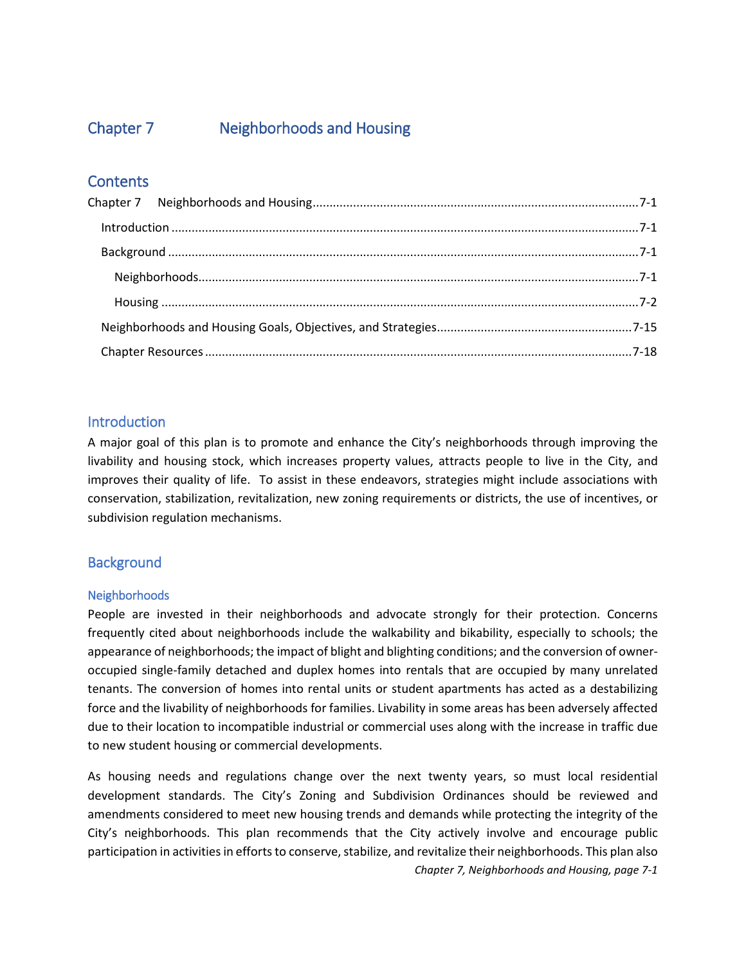# <span id="page-0-0"></span>Chapter 7 Neighborhoods and Housing

# **Contents**

# <span id="page-0-1"></span>**Introduction**

A major goal of this plan is to promote and enhance the City's neighborhoods through improving the livability and housing stock, which increases property values, attracts people to live in the City, and improves their quality of life. To assist in these endeavors, strategies might include associations with conservation, stabilization, revitalization, new zoning requirements or districts, the use of incentives, or subdivision regulation mechanisms.

# <span id="page-0-2"></span>**Background**

## <span id="page-0-3"></span>Neighborhoods

People are invested in their neighborhoods and advocate strongly for their protection. Concerns frequently cited about neighborhoods include the walkability and bikability, especially to schools; the appearance of neighborhoods; the impact of blight and blighting conditions; and the conversion of owneroccupied single-family detached and duplex homes into rentals that are occupied by many unrelated tenants. The conversion of homes into rental units or student apartments has acted as a destabilizing force and the livability of neighborhoods for families. Livability in some areas has been adversely affected due to their location to incompatible industrial or commercial uses along with the increase in traffic due to new student housing or commercial developments.

*Chapter 7, Neighborhoods and Housing, page 7-1* As housing needs and regulations change over the next twenty years, so must local residential development standards. The City's Zoning and Subdivision Ordinances should be reviewed and amendments considered to meet new housing trends and demands while protecting the integrity of the City's neighborhoods. This plan recommends that the City actively involve and encourage public participation in activities in efforts to conserve, stabilize, and revitalize their neighborhoods. This plan also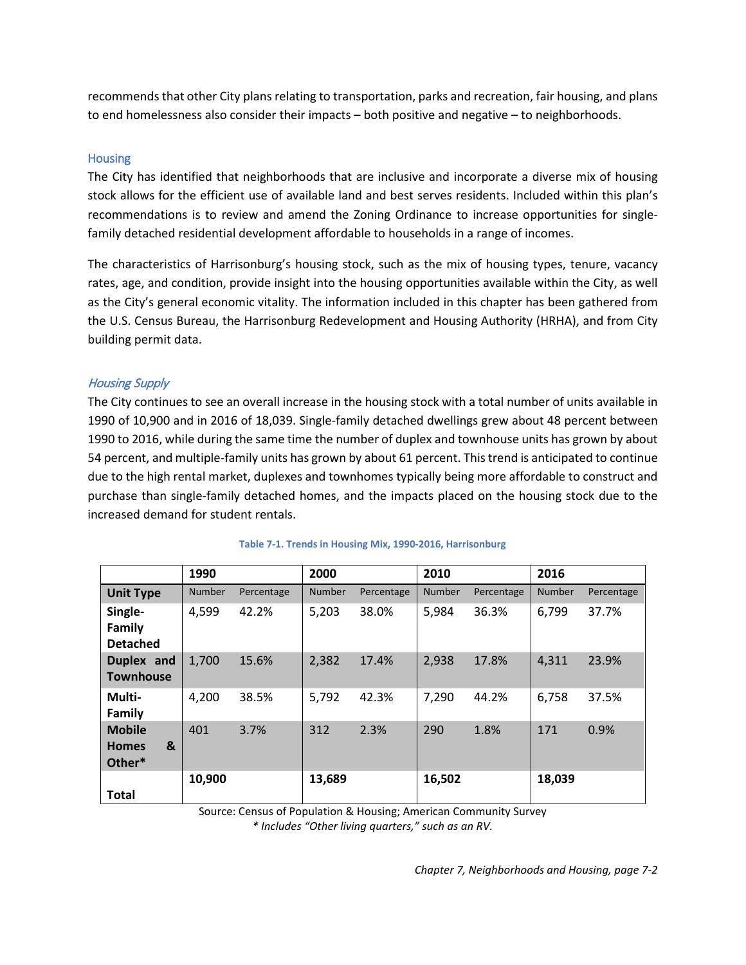recommends that other City plans relating to transportation, parks and recreation, fair housing, and plans to end homelessness also consider their impacts – both positive and negative – to neighborhoods.

#### <span id="page-1-0"></span>**Housing**

The City has identified that neighborhoods that are inclusive and incorporate a diverse mix of housing stock allows for the efficient use of available land and best serves residents. Included within this plan's recommendations is to review and amend the Zoning Ordinance to increase opportunities for singlefamily detached residential development affordable to households in a range of incomes.

The characteristics of Harrisonburg's housing stock, such as the mix of housing types, tenure, vacancy rates, age, and condition, provide insight into the housing opportunities available within the City, as well as the City's general economic vitality. The information included in this chapter has been gathered from the U.S. Census Bureau, the Harrisonburg Redevelopment and Housing Authority (HRHA), and from City building permit data.

### Housing Supply

The City continues to see an overall increase in the housing stock with a total number of units available in 1990 of 10,900 and in 2016 of 18,039. Single-family detached dwellings grew about 48 percent between 1990 to 2016, while during the same time the number of duplex and townhouse units has grown by about 54 percent, and multiple-family units has grown by about 61 percent. This trend is anticipated to continue due to the high rental market, duplexes and townhomes typically being more affordable to construct and purchase than single-family detached homes, and the impacts placed on the housing stock due to the increased demand for student rentals.

|                                                         | 1990          |            | 2000   |            | 2010          |            | 2016          |            |
|---------------------------------------------------------|---------------|------------|--------|------------|---------------|------------|---------------|------------|
| <b>Unit Type</b>                                        | <b>Number</b> | Percentage | Number | Percentage | <b>Number</b> | Percentage | <b>Number</b> | Percentage |
| Single-<br>Family<br><b>Detached</b>                    | 4,599         | 42.2%      | 5,203  | 38.0%      | 5,984         | 36.3%      | 6,799         | 37.7%      |
| Duplex and<br><b>Townhouse</b>                          | 1,700         | 15.6%      | 2,382  | 17.4%      | 2,938         | 17.8%      | 4,311         | 23.9%      |
| Multi-<br>Family                                        | 4,200         | 38.5%      | 5,792  | 42.3%      | 7,290         | 44.2%      | 6,758         | 37.5%      |
| <b>Mobile</b><br>$\mathbf{g}$<br><b>Homes</b><br>Other* | 401           | 3.7%       | 312    | 2.3%       | 290           | 1.8%       | 171           | 0.9%       |
| <b>Total</b>                                            | 10,900        |            | 13,689 |            | 16,502        |            | 18,039        |            |

#### **Table 7-1. Trends in Housing Mix, 1990-2016, Harrisonburg**

Source: Census of Population & Housing; American Community Survey *\* Includes "Other living quarters," such as an RV.*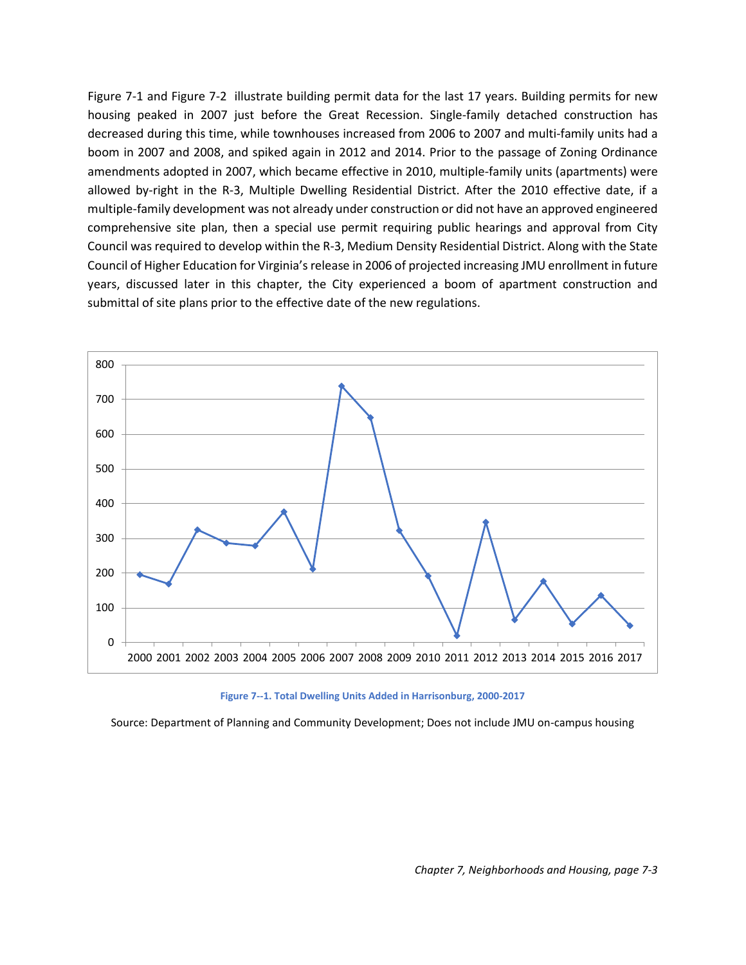[Figure 7-1](#page-2-0) and [Figure 7-2](#page-3-0) illustrate building permit data for the last 17 years. Building permits for new housing peaked in 2007 just before the Great Recession. Single-family detached construction has decreased during this time, while townhouses increased from 2006 to 2007 and multi-family units had a boom in 2007 and 2008, and spiked again in 2012 and 2014. Prior to the passage of Zoning Ordinance amendments adopted in 2007, which became effective in 2010, multiple-family units (apartments) were allowed by-right in the R-3, Multiple Dwelling Residential District. After the 2010 effective date, if a multiple-family development was not already under construction or did not have an approved engineered comprehensive site plan, then a special use permit requiring public hearings and approval from City Council was required to develop within the R-3, Medium Density Residential District. Along with the State Council of Higher Education for Virginia's release in 2006 of projected increasing JMU enrollment in future years, discussed later in this chapter, the City experienced a boom of apartment construction and submittal of site plans prior to the effective date of the new regulations.



**Figure 7--1. Total Dwelling Units Added in Harrisonburg, 2000-2017**

<span id="page-2-0"></span>Source: Department of Planning and Community Development; Does not include JMU on-campus housing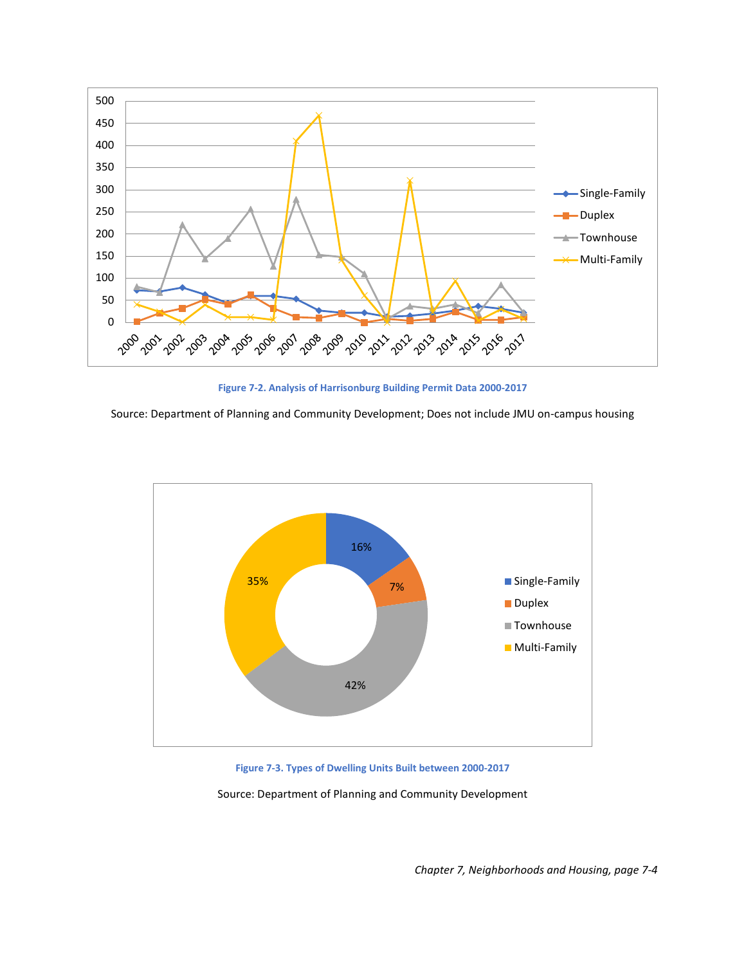

**Figure 7-2. Analysis of Harrisonburg Building Permit Data 2000-2017**

<span id="page-3-0"></span>Source: Department of Planning and Community Development; Does not include JMU on-campus housing



**Figure 7-3. Types of Dwelling Units Built between 2000-2017**

Source: Department of Planning and Community Development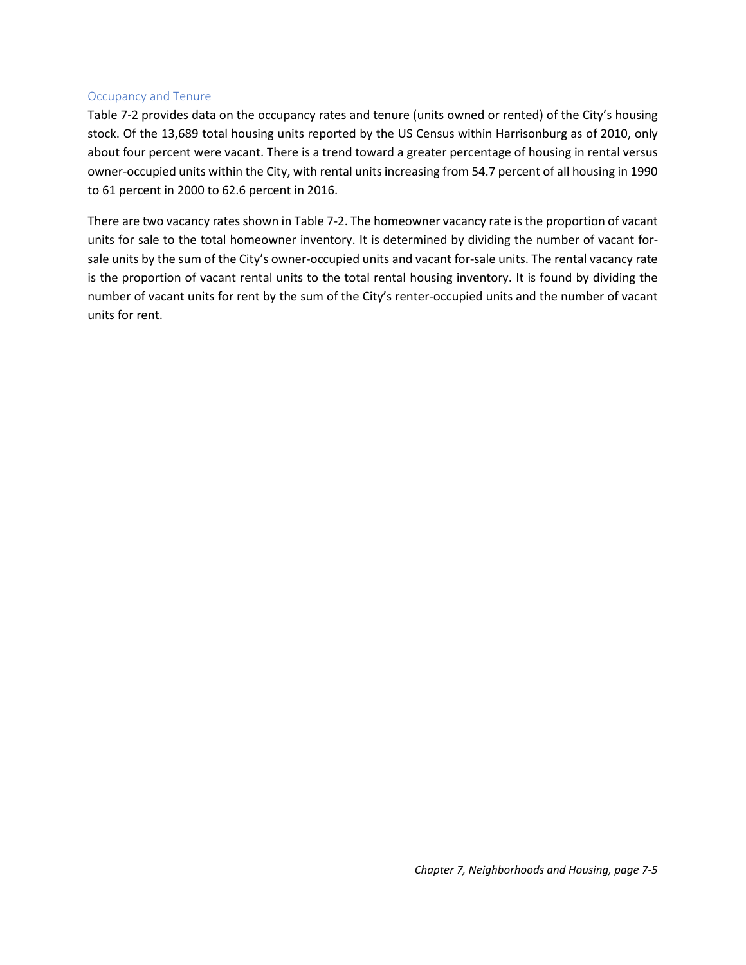#### Occupancy and Tenure

[Table 7-2](#page-4-0) provides data on the occupancy rates and tenure (units owned or rented) of the City's housing stock. Of the 13,689 total housing units reported by the US Census within Harrisonburg as of 2010, only about four percent were vacant. There is a trend toward a greater percentage of housing in rental versus owner-occupied units within the City, with rental units increasing from 54.7 percent of all housing in 1990 to 61 percent in 2000 to 62.6 percent in 2016.

<span id="page-4-0"></span>There are two vacancy rates shown i[n Table 7-2.](#page-4-0) The homeowner vacancy rate is the proportion of vacant units for sale to the total homeowner inventory. It is determined by dividing the number of vacant forsale units by the sum of the City's owner-occupied units and vacant for-sale units. The rental vacancy rate is the proportion of vacant rental units to the total rental housing inventory. It is found by dividing the number of vacant units for rent by the sum of the City's renter-occupied units and the number of vacant units for rent.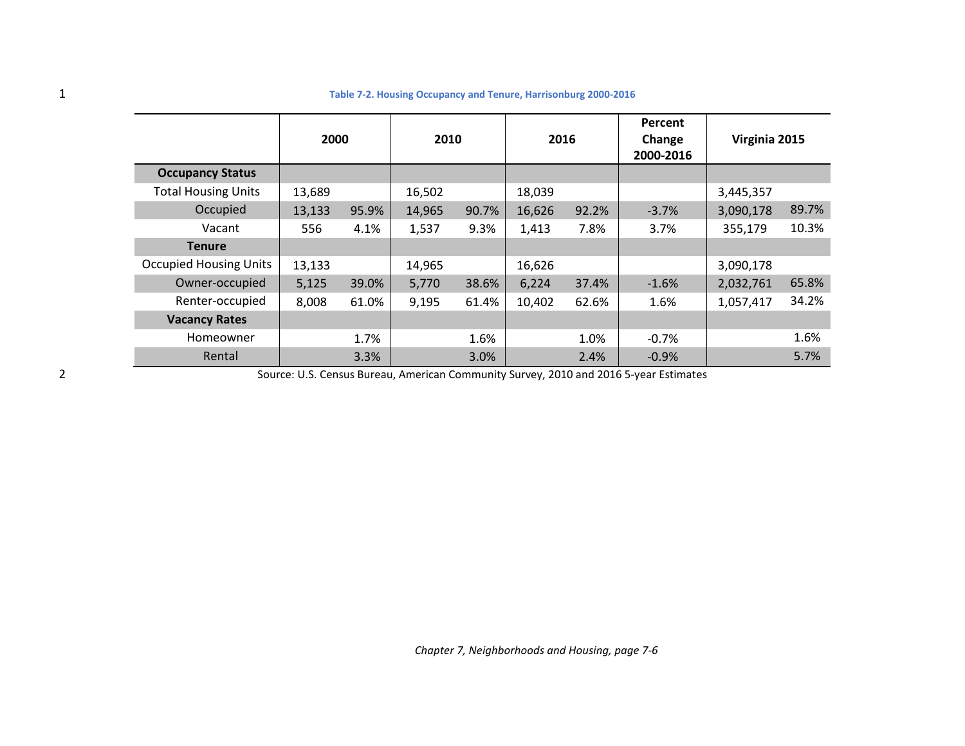|                               | 2000   |       | 2010   |       | 2016   |       | Percent<br>Change<br>2000-2016 | Virginia 2015 |       |
|-------------------------------|--------|-------|--------|-------|--------|-------|--------------------------------|---------------|-------|
| <b>Occupancy Status</b>       |        |       |        |       |        |       |                                |               |       |
| <b>Total Housing Units</b>    | 13,689 |       | 16,502 |       | 18,039 |       |                                | 3,445,357     |       |
| Occupied                      | 13,133 | 95.9% | 14,965 | 90.7% | 16,626 | 92.2% | $-3.7%$                        | 3,090,178     | 89.7% |
| Vacant                        | 556    | 4.1%  | 1,537  | 9.3%  | 1,413  | 7.8%  | 3.7%                           | 355,179       | 10.3% |
| <b>Tenure</b>                 |        |       |        |       |        |       |                                |               |       |
| <b>Occupied Housing Units</b> | 13,133 |       | 14,965 |       | 16,626 |       |                                | 3,090,178     |       |
| Owner-occupied                | 5,125  | 39.0% | 5,770  | 38.6% | 6,224  | 37.4% | $-1.6%$                        | 2,032,761     | 65.8% |
| Renter-occupied               | 8,008  | 61.0% | 9,195  | 61.4% | 10,402 | 62.6% | 1.6%                           | 1,057,417     | 34.2% |
| <b>Vacancy Rates</b>          |        |       |        |       |        |       |                                |               |       |
| Homeowner                     |        | 1.7%  |        | 1.6%  |        | 1.0%  | $-0.7%$                        |               | 1.6%  |
| Rental                        |        | 3.3%  |        | 3.0%  |        | 2.4%  | $-0.9%$                        |               | 5.7%  |

#### 1 **Table 7-2. Housing Occupancy and Tenure, Harrisonburg 2000-2016**

2 Source: U.S. Census Bureau, American Community Survey, 2010 and 2016 5-year Estimates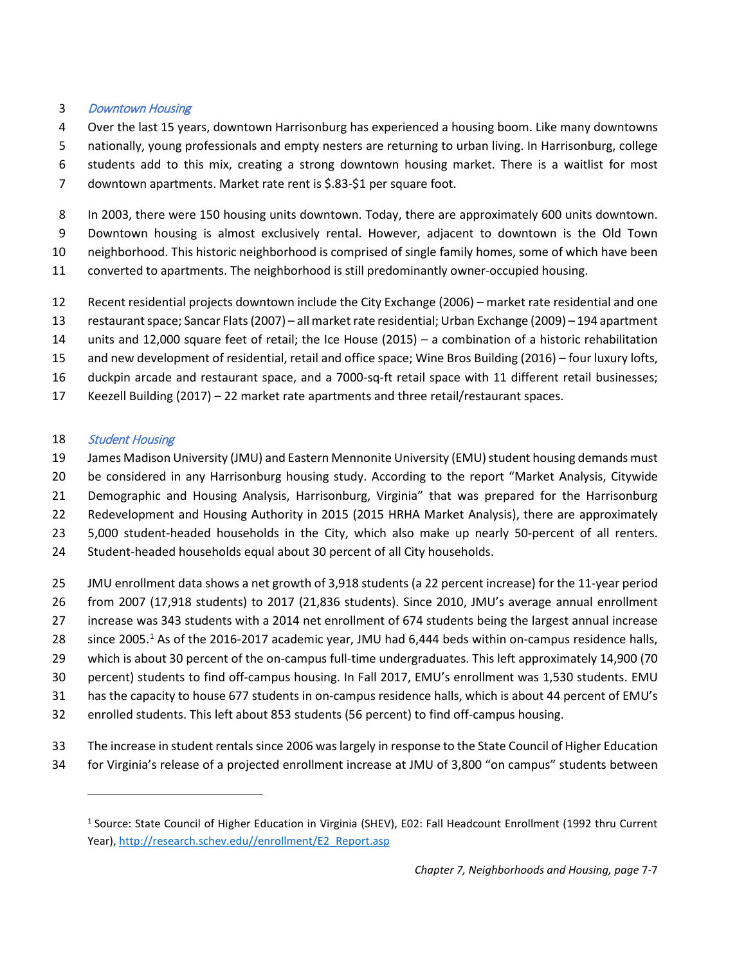## Downtown Housing

- Over the last 15 years, downtown Harrisonburg has experienced a housing boom. Like many downtowns
- nationally, young professionals and empty nesters are returning to urban living. In Harrisonburg, college
- students add to this mix, creating a strong downtown housing market. There is a waitlist for most
- downtown apartments. Market rate rent is \$.83-\$1 per square foot.
- In 2003, there were 150 housing units downtown. Today, there are approximately 600 units downtown.
- Downtown housing is almost exclusively rental. However, adjacent to downtown is the Old Town
- neighborhood. This historic neighborhood is comprised of single family homes, some of which have been
- converted to apartments. The neighborhood is still predominantly owner-occupied housing.
- Recent residential projects downtown include the City Exchange (2006) market rate residential and one
- restaurant space; Sancar Flats (2007) all market rate residential; Urban Exchange (2009) 194 apartment
- units and 12,000 square feet of retail; the Ice House (2015) a combination of a historic rehabilitation
- and new development of residential, retail and office space; Wine Bros Building (2016) four luxury lofts,
- duckpin arcade and restaurant space, and a 7000-sq-ft retail space with 11 different retail businesses;
- Keezell Building (2017) 22 market rate apartments and three retail/restaurant spaces.

# 18 Student Housing

l

- 19 James Madison University (JMU) and Eastern Mennonite University (EMU) student housing demands must
- be considered in any Harrisonburg housing study. According to the report "Market Analysis, Citywide
- Demographic and Housing Analysis, Harrisonburg, Virginia" that was prepared for the Harrisonburg
- Redevelopment and Housing Authority in 2015 (2015 HRHA Market Analysis), there are approximately
- 5,000 student-headed households in the City, which also make up nearly 50-percent of all renters.
- Student-headed households equal about 30 percent of all City households.
- JMU enrollment data shows a net growth of 3,918 students (a 22 percent increase) for the 11-year period
- from 2007 (17,918 students) to 2017 (21,836 students). Since 2010, JMU's average annual enrollment
- increase was 343 students with a 2014 net enrollment of 674 students being the largest annual increase
- 28 since 2005.<sup>[1](#page-6-0)</sup> As of the 2016-2017 academic year, JMU had 6,444 beds within on-campus residence halls,
- which is about 30 percent of the on-campus full-time undergraduates. This left approximately 14,900 (70
- percent) students to find off-campus housing. In Fall 2017, EMU's enrollment was 1,530 students. EMU
- has the capacity to house 677 students in on-campus residence halls, which is about 44 percent of EMU's
- enrolled students. This left about 853 students (56 percent) to find off-campus housing.
- The increase in student rentals since 2006 waslargely in response to the State Council of Higher Education
- <span id="page-6-0"></span>for Virginia's release of a projected enrollment increase at JMU of 3,800 "on campus" students between

<sup>&</sup>lt;sup>1</sup> Source: State Council of Higher Education in Virginia (SHEV), E02: Fall Headcount Enrollment (1992 thru Current Year), [http://research.schev.edu//enrollment/E2\\_Report.asp](http://research.schev.edu/enrollment/E2_Report.asp)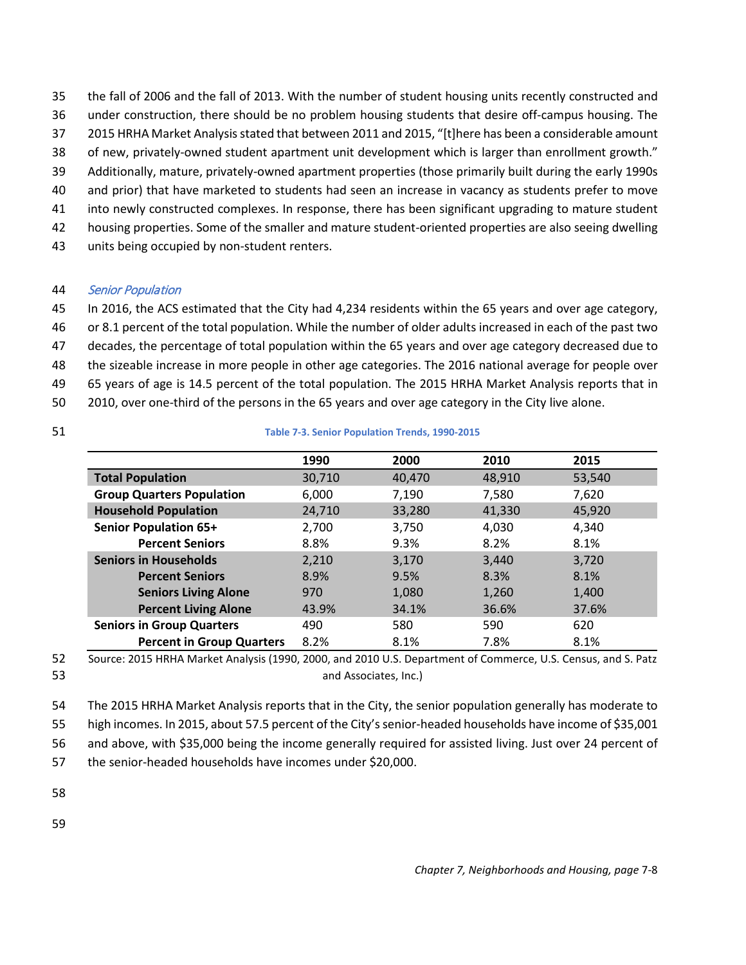- 35 the fall of 2006 and the fall of 2013. With the number of student housing units recently constructed and
- 36 under construction, there should be no problem housing students that desire off-campus housing. The
- 37 2015 HRHA Market Analysis stated that between 2011 and 2015, "[t]here has been a considerable amount
- 38 of new, privately-owned student apartment unit development which is larger than enrollment growth."
- 39 Additionally, mature, privately-owned apartment properties (those primarily built during the early 1990s
- 40 and prior) that have marketed to students had seen an increase in vacancy as students prefer to move 41 into newly constructed complexes. In response, there has been significant upgrading to mature student
- 42 housing properties. Some of the smaller and mature student-oriented properties are also seeing dwelling
- 43 units being occupied by non-student renters.

## 44 Senior Population

- 45 In 2016, the ACS estimated that the City had 4,234 residents within the 65 years and over age category,
- 46 or 8.1 percent of the total population. While the number of older adults increased in each of the past two
- 47 decades, the percentage of total population within the 65 years and over age category decreased due to
- 48 the sizeable increase in more people in other age categories. The 2016 national average for people over
- 49 65 years of age is 14.5 percent of the total population. The 2015 HRHA Market Analysis reports that in
- 50 2010, over one-third of the persons in the 65 years and over age category in the City live alone.
- 

### 51 **Table 7-3. Senior Population Trends, 1990-2015**

|                                  | 1990   | 2000   | 2010   | 2015   |
|----------------------------------|--------|--------|--------|--------|
| <b>Total Population</b>          | 30,710 | 40,470 | 48,910 | 53,540 |
| <b>Group Quarters Population</b> | 6.000  | 7,190  | 7,580  | 7.620  |
| <b>Household Population</b>      | 24,710 | 33,280 | 41,330 | 45,920 |
| <b>Senior Population 65+</b>     | 2,700  | 3,750  | 4,030  | 4,340  |
| <b>Percent Seniors</b>           | 8.8%   | 9.3%   | 8.2%   | 8.1%   |
| <b>Seniors in Households</b>     | 2,210  | 3,170  | 3,440  | 3,720  |
| <b>Percent Seniors</b>           | 8.9%   | 9.5%   | 8.3%   | 8.1%   |
| <b>Seniors Living Alone</b>      | 970    | 1,080  | 1,260  | 1,400  |
| <b>Percent Living Alone</b>      | 43.9%  | 34.1%  | 36.6%  | 37.6%  |
| <b>Seniors in Group Quarters</b> | 490    | 580    | 590    | 620    |
| <b>Percent in Group Quarters</b> | 8.2%   | 8.1%   | 7.8%   | 8.1%   |



54 The 2015 HRHA Market Analysis reports that in the City, the senior population generally has moderate to

55 high incomes. In 2015, about 57.5 percent of the City's senior-headed households have income of \$35,001

56 and above, with \$35,000 being the income generally required for assisted living. Just over 24 percent of

57 the senior-headed households have incomes under \$20,000.

58

59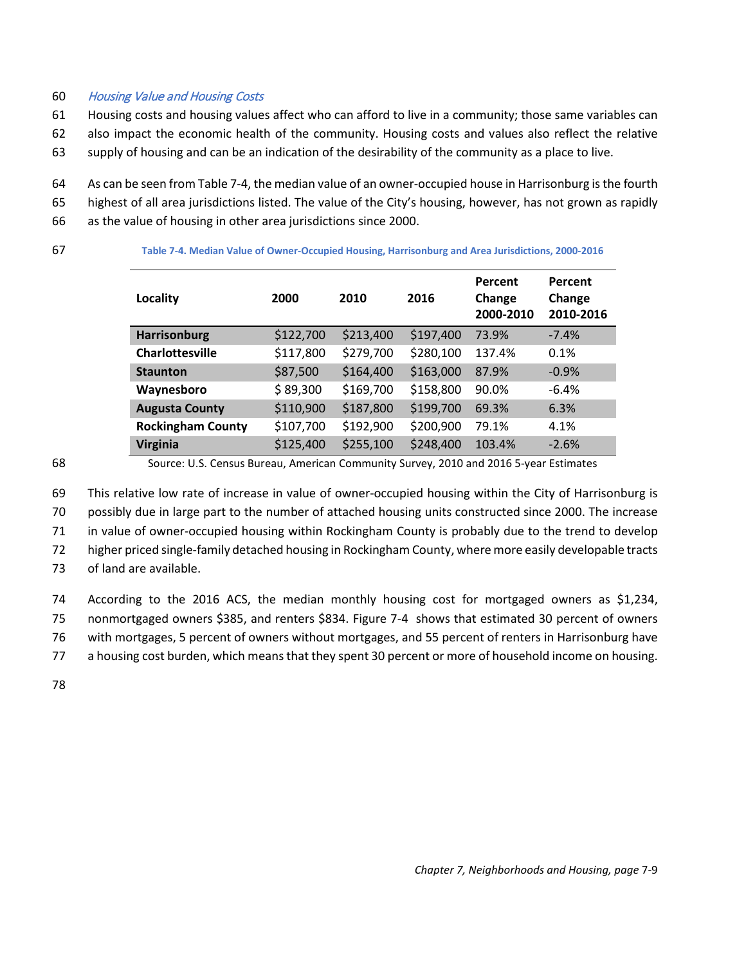### 60 Housing Value and Housing Costs

61 Housing costs and housing values affect who can afford to live in a community; those same variables can

- 62 also impact the economic health of the community. Housing costs and values also reflect the relative
- 63 supply of housing and can be an indication of the desirability of the community as a place to live.
- 64 As can be seen fro[m Table 7-4,](#page-8-0) the median value of an owner-occupied house in Harrisonburg is the fourth
- 65 highest of all area jurisdictions listed. The value of the City's housing, however, has not grown as rapidly
- 66 as the value of housing in other area jurisdictions since 2000.

| ۰                        |  |
|--------------------------|--|
| . .<br>I<br>×<br>×<br>۰. |  |

<span id="page-8-0"></span>67 **Table 7-4. Median Value of Owner-Occupied Housing, Harrisonburg and Area Jurisdictions, 2000-2016**

| <b>Locality</b>          | 2000      | 2010      | 2016      | Percent<br>Change<br>2000-2010 | Percent<br>Change<br>2010-2016 |
|--------------------------|-----------|-----------|-----------|--------------------------------|--------------------------------|
| <b>Harrisonburg</b>      | \$122,700 | \$213,400 | \$197,400 | 73.9%                          | $-7.4%$                        |
| <b>Charlottesville</b>   | \$117,800 | \$279,700 | \$280,100 | 137.4%                         | 0.1%                           |
| <b>Staunton</b>          | \$87,500  | \$164,400 | \$163,000 | 87.9%                          | $-0.9%$                        |
| Waynesboro               | \$89,300  | \$169,700 | \$158,800 | 90.0%                          | $-6.4%$                        |
| <b>Augusta County</b>    | \$110,900 | \$187,800 | \$199,700 | 69.3%                          | 6.3%                           |
| <b>Rockingham County</b> | \$107,700 | \$192,900 | \$200,900 | 79.1%                          | 4.1%                           |
| <b>Virginia</b>          | \$125,400 | \$255,100 | \$248,400 | 103.4%                         | $-2.6%$                        |

68 Source: U.S. Census Bureau, American Community Survey, 2010 and 2016 5-year Estimates

 This relative low rate of increase in value of owner-occupied housing within the City of Harrisonburg is possibly due in large part to the number of attached housing units constructed since 2000. The increase in value of owner-occupied housing within Rockingham County is probably due to the trend to develop higher priced single-family detached housing in Rockingham County, where more easily developable tracts

73 of land are available.

74 According to the 2016 ACS, the median monthly housing cost for mortgaged owners as \$1,234,

75 nonmortgaged owners \$385, and renters \$834. [Figure 7-4](#page-8-1) shows that estimated 30 percent of owners

76 with mortgages, 5 percent of owners without mortgages, and 55 percent of renters in Harrisonburg have

77 a housing cost burden, which means that they spent 30 percent or more of household income on housing.

<span id="page-8-1"></span>78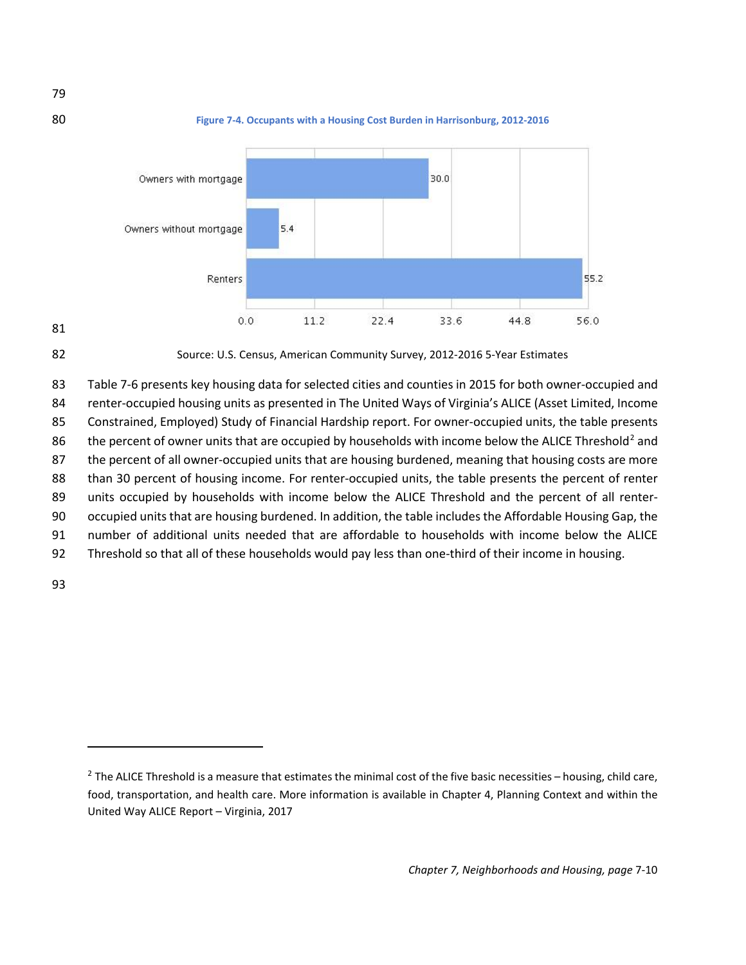





82 Source: U.S. Census, American Community Survey, 2012-2016 5-Year Estimates

 [Table 7-6](#page-9-0) presents key housing data for selected cities and counties in 2015 for both owner-occupied and renter-occupied housing units as presented in The United Ways of Virginia's ALICE (Asset Limited, Income Constrained, Employed) Study of Financial Hardship report. For owner-occupied units, the table presents 86 the percent of owner units that are occupied by households with income below the ALICE Threshold<sup>[2](#page-9-1)</sup> and 87 the percent of all owner-occupied units that are housing burdened, meaning that housing costs are more than 30 percent of housing income. For renter-occupied units, the table presents the percent of renter units occupied by households with income below the ALICE Threshold and the percent of all renter- occupied units that are housing burdened. In addition, the table includes the Affordable Housing Gap, the number of additional units needed that are affordable to households with income below the ALICE Threshold so that all of these households would pay less than one-third of their income in housing.

<span id="page-9-0"></span>93

 $\overline{a}$ 

<span id="page-9-1"></span><sup>&</sup>lt;sup>2</sup> The ALICE Threshold is a measure that estimates the minimal cost of the five basic necessities – housing, child care, food, transportation, and health care. More information is available in Chapter 4, Planning Context and within the United Way ALICE Report – Virginia, 2017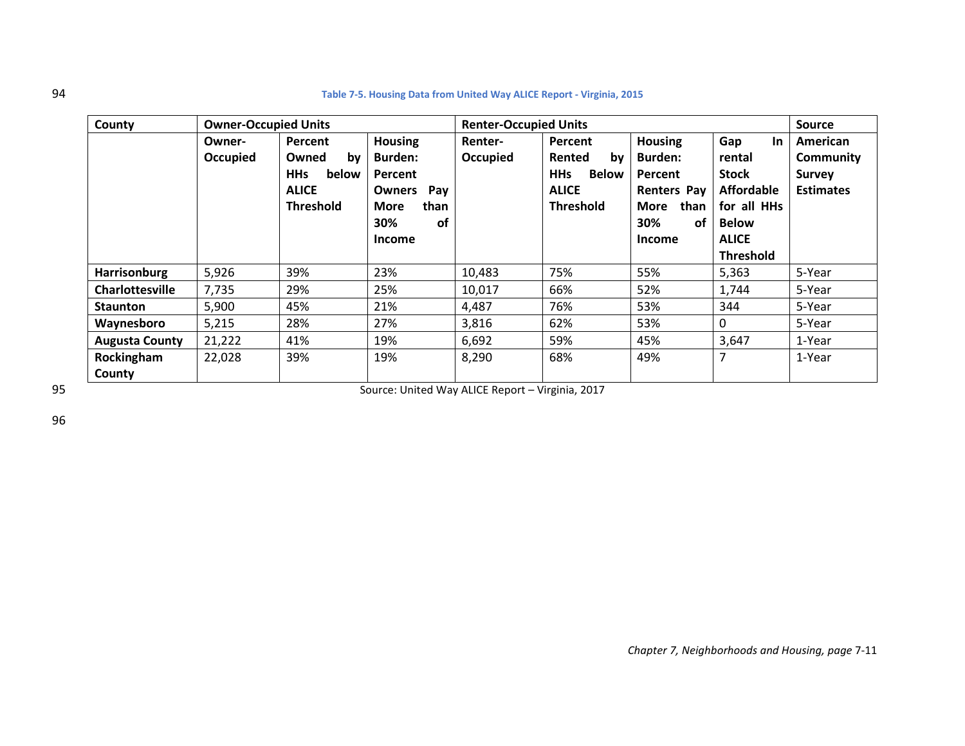| 94 | Table 7-5. Housing Data from United Way ALICE Report - Virginia, 2015 |  |
|----|-----------------------------------------------------------------------|--|
|----|-----------------------------------------------------------------------|--|

| County                 | <b>Owner-Occupied Units</b> |                                                                                   |                                                                                                                   | <b>Renter-Occupied Units</b> | <b>Source</b>                                                                             |                                                                                                                 |                                                                                                                                    |                                                            |
|------------------------|-----------------------------|-----------------------------------------------------------------------------------|-------------------------------------------------------------------------------------------------------------------|------------------------------|-------------------------------------------------------------------------------------------|-----------------------------------------------------------------------------------------------------------------|------------------------------------------------------------------------------------------------------------------------------------|------------------------------------------------------------|
|                        | Owner-<br>Occupied          | Percent<br>Owned<br>by<br><b>HHs</b><br>below<br><b>ALICE</b><br><b>Threshold</b> | <b>Housing</b><br><b>Burden:</b><br>Percent<br>Pay<br><b>Owners</b><br>than<br><b>More</b><br>30%<br>of<br>Income | Renter-<br>Occupied          | Percent<br>Rented<br>by<br><b>HHs</b><br><b>Below</b><br><b>ALICE</b><br><b>Threshold</b> | <b>Housing</b><br><b>Burden:</b><br>Percent<br><b>Renters Pay</b><br>than<br>More<br>30%<br>0f<br><b>Income</b> | Gap<br><b>In</b><br>rental<br><b>Stock</b><br><b>Affordable</b><br>for all HHs<br><b>Below</b><br><b>ALICE</b><br><b>Threshold</b> | American<br>Community<br><b>Survey</b><br><b>Estimates</b> |
| <b>Harrisonburg</b>    | 5,926                       | 39%                                                                               | 23%                                                                                                               | 10,483                       | 75%                                                                                       | 55%                                                                                                             | 5,363                                                                                                                              | 5-Year                                                     |
| <b>Charlottesville</b> | 7,735                       | 29%                                                                               | 25%                                                                                                               | 10,017                       | 66%                                                                                       | 52%                                                                                                             | 1,744                                                                                                                              | 5-Year                                                     |
| <b>Staunton</b>        | 5,900                       | 45%                                                                               | 21%                                                                                                               | 4,487                        | 76%                                                                                       | 53%                                                                                                             | 344                                                                                                                                | 5-Year                                                     |
| Waynesboro             | 5,215                       | 28%                                                                               | 27%                                                                                                               | 3,816                        | 62%                                                                                       | 53%                                                                                                             | 0                                                                                                                                  | 5-Year                                                     |
| <b>Augusta County</b>  | 21,222                      | 41%                                                                               | 19%                                                                                                               | 6,692                        | 59%                                                                                       | 45%                                                                                                             | 3,647                                                                                                                              | 1-Year                                                     |
| Rockingham<br>County   | 22,028                      | 39%                                                                               | 19%                                                                                                               | 8,290                        | 68%                                                                                       | 49%                                                                                                             | 7                                                                                                                                  | 1-Year                                                     |

95 Source: United Way ALICE Report – Virginia, 2017

96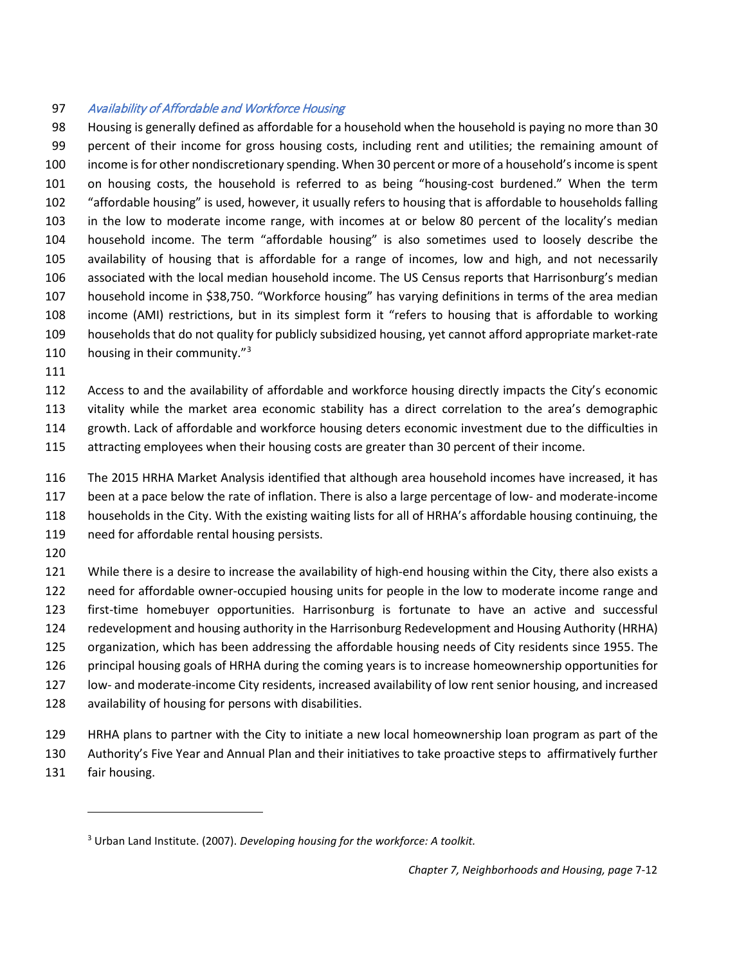### Availability of Affordable and Workforce Housing

 Housing is generally defined as affordable for a household when the household is paying no more than 30 percent of their income for gross housing costs, including rent and utilities; the remaining amount of income is for other nondiscretionary spending. When 30 percent or more of a household's income is spent on housing costs, the household is referred to as being "housing-cost burdened." When the term "affordable housing" is used, however, it usually refers to housing that is affordable to households falling in the low to moderate income range, with incomes at or below 80 percent of the locality's median household income. The term "affordable housing" is also sometimes used to loosely describe the availability of housing that is affordable for a range of incomes, low and high, and not necessarily associated with the local median household income. The US Census reports that Harrisonburg's median household income in \$38,750. "Workforce housing" has varying definitions in terms of the area median income (AMI) restrictions, but in its simplest form it "refers to housing that is affordable to working households that do not quality for publicly subsidized housing, yet cannot afford appropriate market-rate 110 housing in their community.

 Access to and the availability of affordable and workforce housing directly impacts the City's economic vitality while the market area economic stability has a direct correlation to the area's demographic growth. Lack of affordable and workforce housing deters economic investment due to the difficulties in attracting employees when their housing costs are greater than 30 percent of their income.

 The 2015 HRHA Market Analysis identified that although area household incomes have increased, it has been at a pace below the rate of inflation. There is also a large percentage of low- and moderate-income households in the City. With the existing waiting lists for all of HRHA's affordable housing continuing, the need for affordable rental housing persists.

 $\overline{\phantom{a}}$ 

 While there is a desire to increase the availability of high-end housing within the City, there also exists a need for affordable owner-occupied housing units for people in the low to moderate income range and first-time homebuyer opportunities. Harrisonburg is fortunate to have an active and successful redevelopment and housing authority in the Harrisonburg Redevelopment and Housing Authority (HRHA) organization, which has been addressing the affordable housing needs of City residents since 1955. The principal housing goals of HRHA during the coming years is to increase homeownership opportunities for low- and moderate-income City residents, increased availability of low rent senior housing, and increased availability of housing for persons with disabilities.

 HRHA plans to partner with the City to initiate a new local homeownership loan program as part of the Authority's Five Year and Annual Plan and their initiatives to take proactive steps to affirmatively further fair housing.

<span id="page-11-0"></span>Urban Land Institute. (2007). *Developing housing for the workforce: A toolkit.*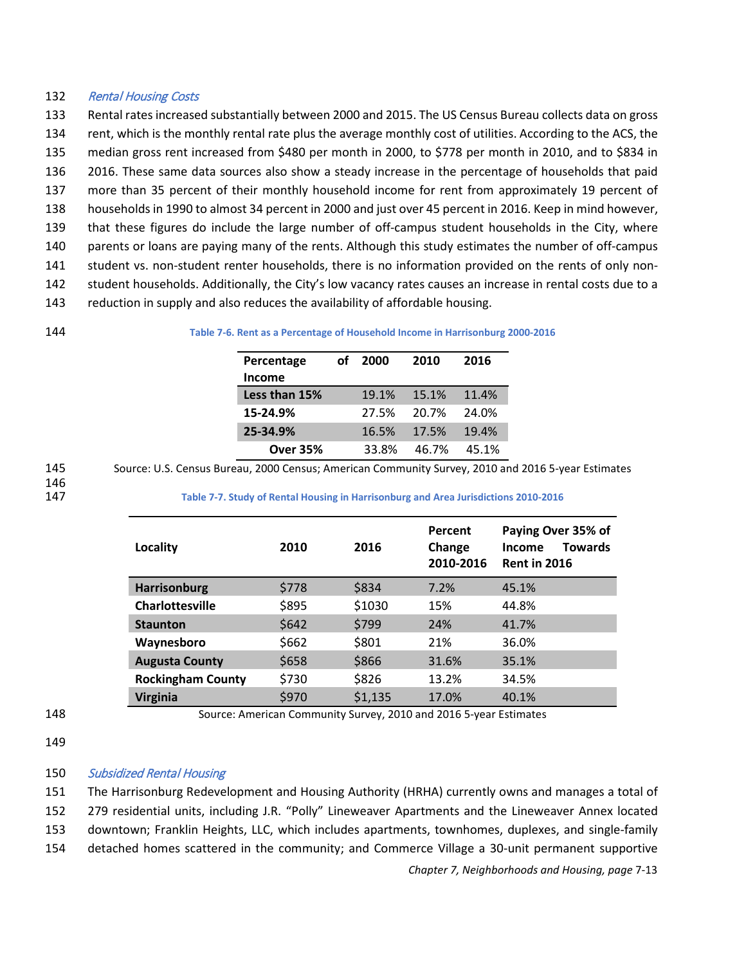#### 132 Rental Housing Costs

 Rental rates increased substantially between 2000 and 2015. The US Census Bureau collects data on gross 134 rent, which is the monthly rental rate plus the average monthly cost of utilities. According to the ACS, the median gross rent increased from \$480 per month in 2000, to \$778 per month in 2010, and to \$834 in 2016. These same data sources also show a steady increase in the percentage of households that paid more than 35 percent of their monthly household income for rent from approximately 19 percent of households in 1990 to almost 34 percent in 2000 and just over 45 percent in 2016. Keep in mind however, that these figures do include the large number of off-campus student households in the City, where parents or loans are paying many of the rents. Although this study estimates the number of off-campus student vs. non-student renter households, there is no information provided on the rents of only non- student households. Additionally, the City's low vacancy rates causes an increase in rental costs due to a reduction in supply and also reduces the availability of affordable housing.

#### 144 **Table 7-6. Rent as a Percentage of Household Income in Harrisonburg 2000-2016**

| Percentage      | Ωf | 2000  | 2010  | 2016  |
|-----------------|----|-------|-------|-------|
| <b>Income</b>   |    |       |       |       |
| Less than 15%   |    | 19.1% | 15.1% | 11.4% |
| 15-24.9%        |    | 27.5% | 20.7% | 24.0% |
| 25-34.9%        |    | 16.5% | 17.5% | 19.4% |
| <b>Over 35%</b> |    | 33.8% | 46.7% | 45.1% |

145 Source: U.S. Census Bureau, 2000 Census; American Community Survey, 2010 and 2016 5-year Estimates

146<br>147

147 **Table 7-7. Study of Rental Housing in Harrisonburg and Area Jurisdictions 2010-2016**

| Locality                 | 2010  | 2016    | Percent<br>Change<br>2010-2016 | Paying Over 35% of<br><b>Towards</b><br>Income<br><b>Rent in 2016</b> |
|--------------------------|-------|---------|--------------------------------|-----------------------------------------------------------------------|
| <b>Harrisonburg</b>      | \$778 | \$834   | 7.2%                           | 45.1%                                                                 |
| <b>Charlottesville</b>   | \$895 | \$1030  | 15%                            | 44.8%                                                                 |
| <b>Staunton</b>          | \$642 | \$799   | 24%                            | 41.7%                                                                 |
| Waynesboro               | \$662 | \$801   | 21%                            | 36.0%                                                                 |
| <b>Augusta County</b>    | \$658 | \$866   | 31.6%                          | 35.1%                                                                 |
| <b>Rockingham County</b> | \$730 | \$826   | 13.2%                          | 34.5%                                                                 |
| Virginia                 | \$970 | \$1,135 | 17.0%                          | 40.1%                                                                 |

148 Source: American Community Survey, 2010 and 2016 5-year Estimates

## 150 Subsidized Rental Housing

151 The Harrisonburg Redevelopment and Housing Authority (HRHA) currently owns and manages a total of 152 279 residential units, including J.R. "Polly" Lineweaver Apartments and the Lineweaver Annex located

153 downtown; Franklin Heights, LLC, which includes apartments, townhomes, duplexes, and single-family

154 detached homes scattered in the community; and Commerce Village a 30-unit permanent supportive

<sup>149</sup>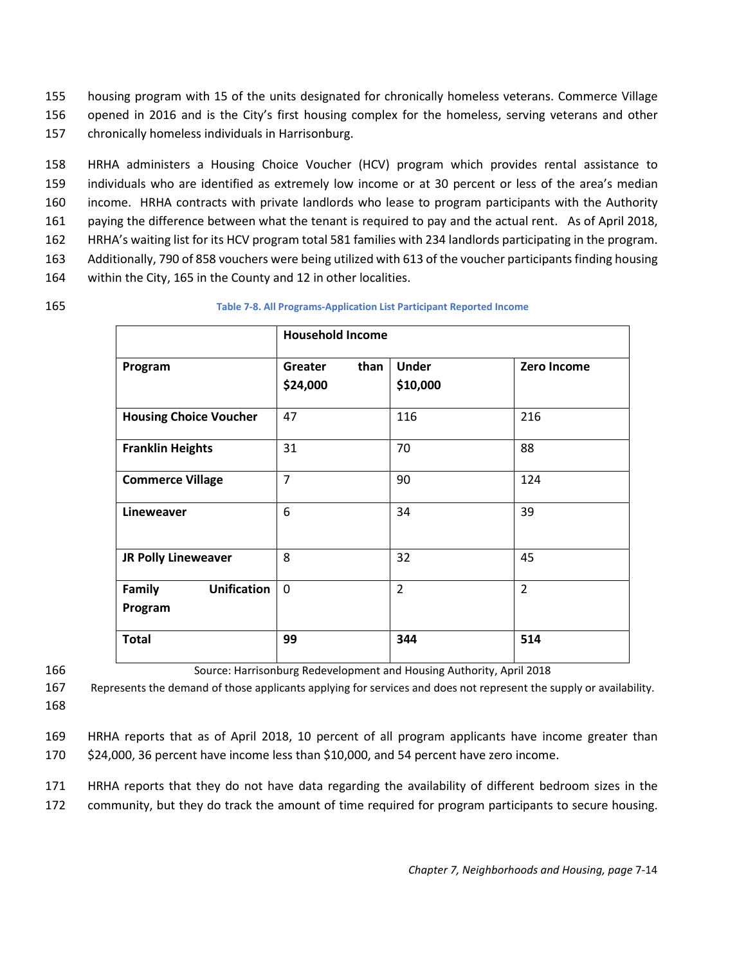155 housing program with 15 of the units designated for chronically homeless veterans. Commerce Village 156 opened in 2016 and is the City's first housing complex for the homeless, serving veterans and other 157 chronically homeless individuals in Harrisonburg.

 HRHA administers a Housing Choice Voucher (HCV) program which provides rental assistance to individuals who are identified as extremely low income or at 30 percent or less of the area's median income. HRHA contracts with private landlords who lease to program participants with the Authority paying the difference between what the tenant is required to pay and the actual rent. As of April 2018, HRHA's waiting list for its HCV program total 581 families with 234 landlords participating in the program.

- 163 Additionally, 790 of 858 vouchers were being utilized with 613 of the voucher participants finding housing
- 164 within the City, 165 in the County and 12 in other localities.
- 

#### 165 **Table 7-8. All Programs-Application List Participant Reported Income**

|                                                | <b>Household Income</b>     |                          |                |  |  |
|------------------------------------------------|-----------------------------|--------------------------|----------------|--|--|
| Program                                        | than<br>Greater<br>\$24,000 | <b>Under</b><br>\$10,000 | Zero Income    |  |  |
| <b>Housing Choice Voucher</b>                  | 47                          | 116                      | 216            |  |  |
| <b>Franklin Heights</b>                        | 31                          | 70                       | 88             |  |  |
| <b>Commerce Village</b>                        | $\overline{7}$              | 90                       | 124            |  |  |
| Lineweaver                                     | 6                           | 34                       | 39             |  |  |
| JR Polly Lineweaver                            | 8                           | 32                       | 45             |  |  |
| <b>Unification</b><br><b>Family</b><br>Program | 0                           | $\overline{2}$           | $\overline{2}$ |  |  |
| <b>Total</b>                                   | 99                          | 344                      | 514            |  |  |

166 Source: Harrisonburg Redevelopment and Housing Authority, April 2018

167 Represents the demand of those applicants applying for services and does not represent the supply or availability. 168

- 169 HRHA reports that as of April 2018, 10 percent of all program applicants have income greater than 170 \$24,000, 36 percent have income less than \$10,000, and 54 percent have zero income.
- 171 HRHA reports that they do not have data regarding the availability of different bedroom sizes in the
- 172 community, but they do track the amount of time required for program participants to secure housing.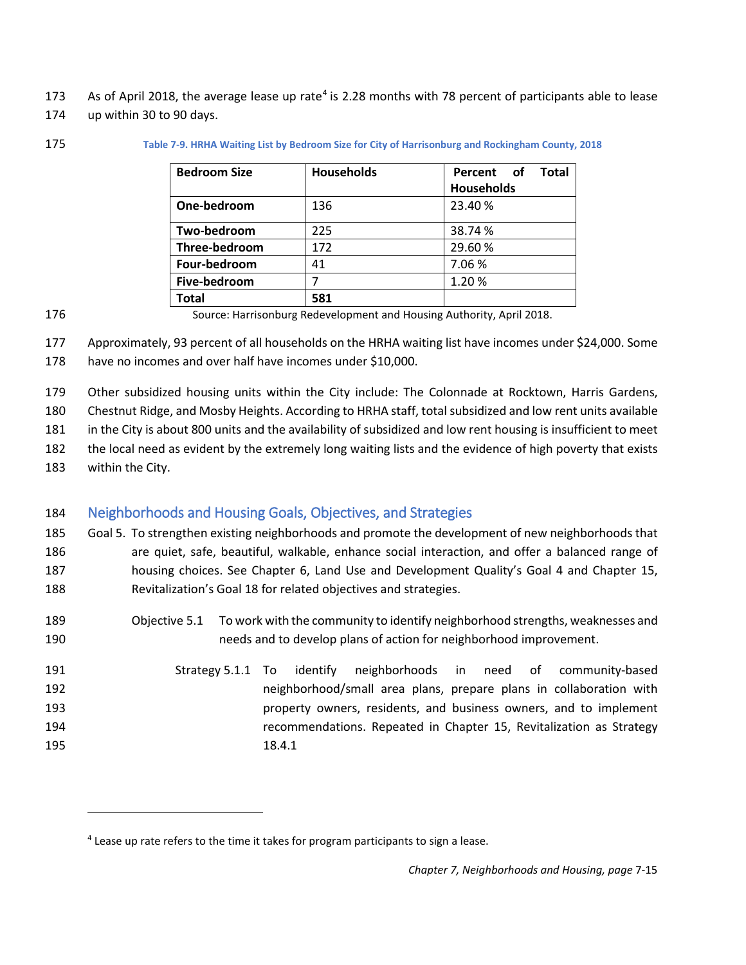- 173 As of April 2018, the average lease up rate<sup>[4](#page-14-1)</sup> is 2.28 months with 78 percent of participants able to lease
- up within 30 to 90 days.
- 

#### **Table 7-9. HRHA Waiting List by Bedroom Size for City of Harrisonburg and Rockingham County, 2018**

| <b>Bedroom Size</b> | <b>Households</b> | <b>Total</b><br>Percent of<br><b>Households</b> |
|---------------------|-------------------|-------------------------------------------------|
| One-bedroom         | 136               | 23.40 %                                         |
| Two-bedroom         | 225               | 38.74 %                                         |
| Three-bedroom       | 172               | 29.60%                                          |
| Four-bedroom        | 41                | 7.06%                                           |
| Five-bedroom        |                   | 1.20%                                           |
| Total               | 581               |                                                 |

 Approximately, 93 percent of all households on the HRHA waiting list have incomes under \$24,000. Some have no incomes and over half have incomes under \$10,000.

Other subsidized housing units within the City include: The Colonnade at Rocktown, Harris Gardens,

Chestnut Ridge, and Mosby Heights. According to HRHA staff, total subsidized and low rent units available

in the City is about 800 units and the availability of subsidized and low rent housing is insufficient to meet

- the local need as evident by the extremely long waiting lists and the evidence of high poverty that exists
- within the City.

 $\overline{\phantom{a}}$ 

# <span id="page-14-0"></span>Neighborhoods and Housing Goals, Objectives, and Strategies

- Goal 5. To strengthen existing neighborhoods and promote the development of new neighborhoods that are quiet, safe, beautiful, walkable, enhance social interaction, and offer a balanced range of housing choices. See Chapter 6, Land Use and Development Quality's Goal 4 and Chapter 15, Revitalization's Goal 18 for related objectives and strategies.
- Objective 5.1 To work with the community to identify neighborhood strengths, weaknesses and needs and to develop plans of action for neighborhood improvement.
- Strategy 5.1.1 To identify neighborhoods in need of community-based neighborhood/small area plans, prepare plans in collaboration with property owners, residents, and business owners, and to implement recommendations. Repeated in Chapter 15, Revitalization as Strategy 18.4.1

Source: Harrisonburg Redevelopment and Housing Authority, April 2018.

<span id="page-14-1"></span>Lease up rate refers to the time it takes for program participants to sign a lease.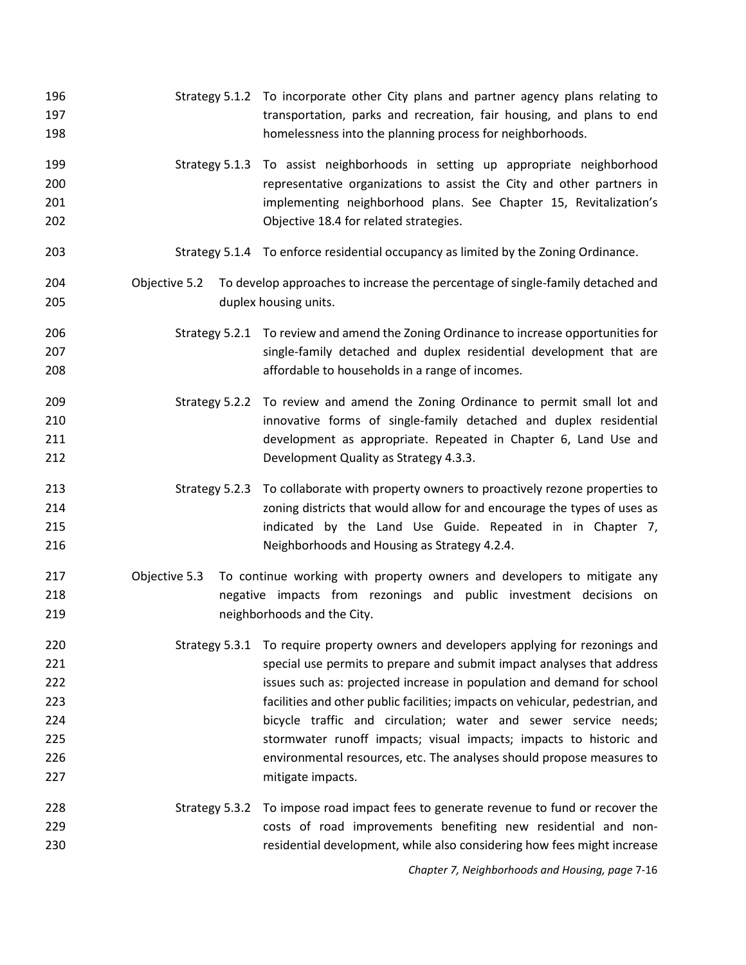| 196<br>197<br>198                                    |                                                                                                                                                                                               | Strategy 5.1.2 To incorporate other City plans and partner agency plans relating to<br>transportation, parks and recreation, fair housing, and plans to end<br>homelessness into the planning process for neighborhoods.                                                                                                                                                                                                                                                                                                                                        |
|------------------------------------------------------|-----------------------------------------------------------------------------------------------------------------------------------------------------------------------------------------------|-----------------------------------------------------------------------------------------------------------------------------------------------------------------------------------------------------------------------------------------------------------------------------------------------------------------------------------------------------------------------------------------------------------------------------------------------------------------------------------------------------------------------------------------------------------------|
| 199<br>200<br>201<br>202                             |                                                                                                                                                                                               | Strategy 5.1.3 To assist neighborhoods in setting up appropriate neighborhood<br>representative organizations to assist the City and other partners in<br>implementing neighborhood plans. See Chapter 15, Revitalization's<br>Objective 18.4 for related strategies.                                                                                                                                                                                                                                                                                           |
| 203                                                  |                                                                                                                                                                                               | Strategy 5.1.4 To enforce residential occupancy as limited by the Zoning Ordinance.                                                                                                                                                                                                                                                                                                                                                                                                                                                                             |
| 204<br>205                                           | Objective 5.2                                                                                                                                                                                 | To develop approaches to increase the percentage of single-family detached and<br>duplex housing units.                                                                                                                                                                                                                                                                                                                                                                                                                                                         |
| 206<br>207<br>208                                    |                                                                                                                                                                                               | Strategy 5.2.1 To review and amend the Zoning Ordinance to increase opportunities for<br>single-family detached and duplex residential development that are<br>affordable to households in a range of incomes.                                                                                                                                                                                                                                                                                                                                                  |
| 209<br>210<br>211<br>212                             |                                                                                                                                                                                               | Strategy 5.2.2 To review and amend the Zoning Ordinance to permit small lot and<br>innovative forms of single-family detached and duplex residential<br>development as appropriate. Repeated in Chapter 6, Land Use and<br>Development Quality as Strategy 4.3.3.                                                                                                                                                                                                                                                                                               |
| 213<br>214<br>215<br>216                             |                                                                                                                                                                                               | Strategy 5.2.3 To collaborate with property owners to proactively rezone properties to<br>zoning districts that would allow for and encourage the types of uses as<br>indicated by the Land Use Guide. Repeated in in Chapter 7,<br>Neighborhoods and Housing as Strategy 4.2.4.                                                                                                                                                                                                                                                                                |
| 217<br>218<br>219                                    | Objective 5.3<br>To continue working with property owners and developers to mitigate any<br>negative impacts from rezonings and public investment decisions on<br>neighborhoods and the City. |                                                                                                                                                                                                                                                                                                                                                                                                                                                                                                                                                                 |
| 220<br>221<br>222<br>223<br>224<br>225<br>226<br>227 |                                                                                                                                                                                               | Strategy 5.3.1 To require property owners and developers applying for rezonings and<br>special use permits to prepare and submit impact analyses that address<br>issues such as: projected increase in population and demand for school<br>facilities and other public facilities; impacts on vehicular, pedestrian, and<br>bicycle traffic and circulation; water and sewer service needs;<br>stormwater runoff impacts; visual impacts; impacts to historic and<br>environmental resources, etc. The analyses should propose measures to<br>mitigate impacts. |
| 228<br>229<br>230                                    | Strategy 5.3.2                                                                                                                                                                                | To impose road impact fees to generate revenue to fund or recover the<br>costs of road improvements benefiting new residential and non-<br>residential development, while also considering how fees might increase                                                                                                                                                                                                                                                                                                                                              |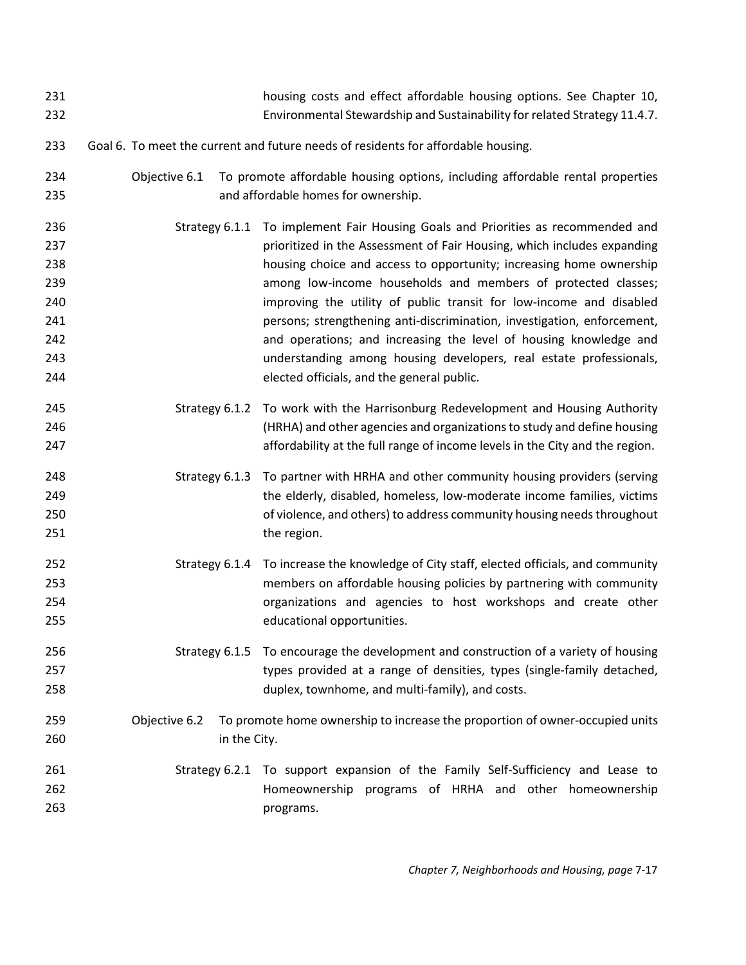| 231<br>232                                                  |                                                                                   | housing costs and effect affordable housing options. See Chapter 10,<br>Environmental Stewardship and Sustainability for related Strategy 11.4.7.                                                                                                                                                                                                                                                                                                                                                                                                                                                                               |  |  |
|-------------------------------------------------------------|-----------------------------------------------------------------------------------|---------------------------------------------------------------------------------------------------------------------------------------------------------------------------------------------------------------------------------------------------------------------------------------------------------------------------------------------------------------------------------------------------------------------------------------------------------------------------------------------------------------------------------------------------------------------------------------------------------------------------------|--|--|
| 233                                                         | Goal 6. To meet the current and future needs of residents for affordable housing. |                                                                                                                                                                                                                                                                                                                                                                                                                                                                                                                                                                                                                                 |  |  |
| 234<br>235                                                  | Objective 6.1                                                                     | To promote affordable housing options, including affordable rental properties<br>and affordable homes for ownership.                                                                                                                                                                                                                                                                                                                                                                                                                                                                                                            |  |  |
| 236<br>237<br>238<br>239<br>240<br>241<br>242<br>243<br>244 | Strategy 6.1.1                                                                    | To implement Fair Housing Goals and Priorities as recommended and<br>prioritized in the Assessment of Fair Housing, which includes expanding<br>housing choice and access to opportunity; increasing home ownership<br>among low-income households and members of protected classes;<br>improving the utility of public transit for low-income and disabled<br>persons; strengthening anti-discrimination, investigation, enforcement,<br>and operations; and increasing the level of housing knowledge and<br>understanding among housing developers, real estate professionals,<br>elected officials, and the general public. |  |  |
| 245<br>246<br>247                                           |                                                                                   | Strategy 6.1.2 To work with the Harrisonburg Redevelopment and Housing Authority<br>(HRHA) and other agencies and organizations to study and define housing<br>affordability at the full range of income levels in the City and the region.                                                                                                                                                                                                                                                                                                                                                                                     |  |  |
| 248<br>249<br>250<br>251                                    | Strategy 6.1.3                                                                    | To partner with HRHA and other community housing providers (serving<br>the elderly, disabled, homeless, low-moderate income families, victims<br>of violence, and others) to address community housing needs throughout<br>the region.                                                                                                                                                                                                                                                                                                                                                                                          |  |  |
| 252<br>253<br>254<br>255                                    |                                                                                   | Strategy 6.1.4 To increase the knowledge of City staff, elected officials, and community<br>members on affordable housing policies by partnering with community<br>organizations and agencies to host workshops and create other<br>educational opportunities.                                                                                                                                                                                                                                                                                                                                                                  |  |  |
| 256<br>257<br>258                                           |                                                                                   | Strategy 6.1.5 To encourage the development and construction of a variety of housing<br>types provided at a range of densities, types (single-family detached,<br>duplex, townhome, and multi-family), and costs.                                                                                                                                                                                                                                                                                                                                                                                                               |  |  |
| 259<br>260                                                  | Objective 6.2<br>in the City.                                                     | To promote home ownership to increase the proportion of owner-occupied units                                                                                                                                                                                                                                                                                                                                                                                                                                                                                                                                                    |  |  |
| 261<br>262<br>263                                           |                                                                                   | Strategy 6.2.1 To support expansion of the Family Self-Sufficiency and Lease to<br>Homeownership programs of HRHA and other homeownership<br>programs.                                                                                                                                                                                                                                                                                                                                                                                                                                                                          |  |  |